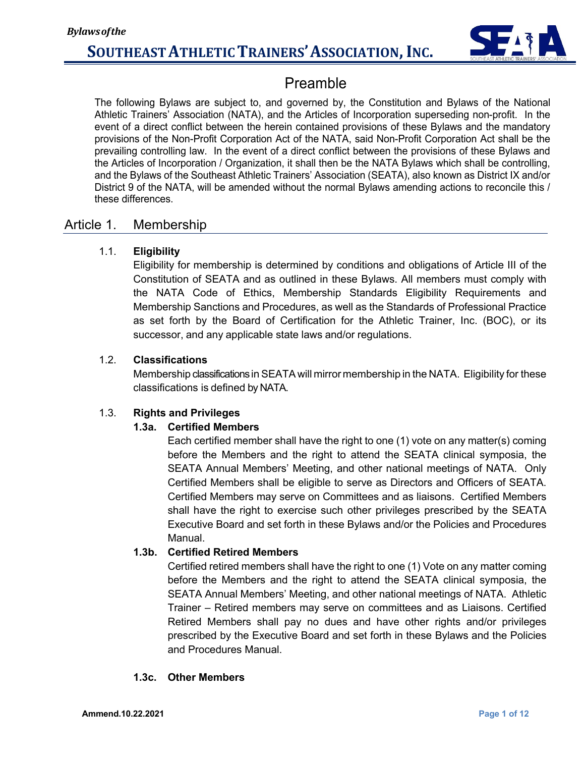

## Preamble

The following Bylaws are subject to, and governed by, the Constitution and Bylaws of the National Athletic Trainers' Association (NATA), and the Articles of Incorporation superseding non-profit. In the event of a direct conflict between the herein contained provisions of these Bylaws and the mandatory provisions of the Non-Profit Corporation Act of the NATA, said Non-Profit Corporation Act shall be the prevailing controlling law. In the event of a direct conflict between the provisions of these Bylaws and the Articles of Incorporation / Organization, it shall then be the NATA Bylaws which shall be controlling, and the Bylaws of the Southeast Athletic Trainers' Association (SEATA), also known as District IX and/or District 9 of the NATA, will be amended without the normal Bylaws amending actions to reconcile this / these differences.

### Article 1. Membership

#### 1.1. **Eligibility**

Eligibility for membership is determined by conditions and obligations of Article III of the Constitution of SEATA and as outlined in these Bylaws. All members must comply with the NATA Code of Ethics, Membership Standards Eligibility Requirements and Membership Sanctions and Procedures, as well as the Standards of Professional Practice as set forth by the Board of Certification for the Athletic Trainer, Inc. (BOC), or its successor, and any applicable state laws and/or regulations.

#### 1.2. **Classifications**

Membership classifications in SEATA will mirror membership in the NATA. Eligibility for these classifications is defined by NATA.

#### 1.3. **Rights and Privileges**

#### **1.3a. Certified Members**

Each certified member shall have the right to one (1) vote on any matter(s) coming before the Members and the right to attend the SEATA clinical symposia, the SEATA Annual Members' Meeting, and other national meetings of NATA. Only Certified Members shall be eligible to serve as Directors and Officers of SEATA. Certified Members may serve on Committees and as liaisons. Certified Members shall have the right to exercise such other privileges prescribed by the SEATA Executive Board and set forth in these Bylaws and/or the Policies and Procedures Manual.

#### **1.3b. Certified Retired Members**

Certified retired members shall have the right to one (1) Vote on any matter coming before the Members and the right to attend the SEATA clinical symposia, the SEATA Annual Members' Meeting, and other national meetings of NATA. Athletic Trainer – Retired members may serve on committees and as Liaisons. Certified Retired Members shall pay no dues and have other rights and/or privileges prescribed by the Executive Board and set forth in these Bylaws and the Policies and Procedures Manual.

#### **1.3c. Other Members**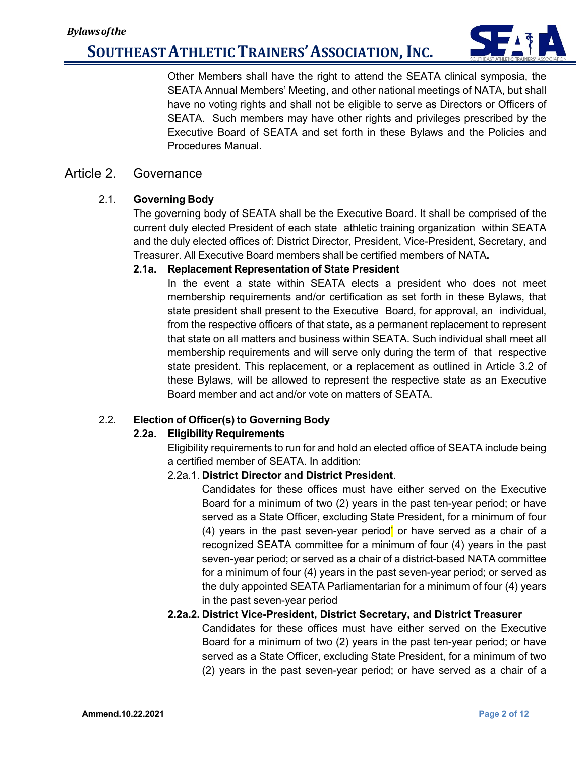

Other Members shall have the right to attend the SEATA clinical symposia, the SEATA Annual Members' Meeting, and other national meetings of NATA, but shall have no voting rights and shall not be eligible to serve as Directors or Officers of SEATA. Such members may have other rights and privileges prescribed by the Executive Board of SEATA and set forth in these Bylaws and the Policies and Procedures Manual.

### Article 2. Governance

#### 2.1. **Governing Body**

The governing body of SEATA shall be the Executive Board. It shall be comprised of the current duly elected President of each state athletic training organization within SEATA and the duly elected offices of: District Director, President, Vice-President, Secretary, and Treasurer. All Executive Board members shall be certified members of NATA**.**

#### **2.1a. Replacement Representation of State President**

In the event a state within SEATA elects a president who does not meet membership requirements and/or certification as set forth in these Bylaws, that state president shall present to the Executive Board, for approval, an individual, from the respective officers of that state, as a permanent replacement to represent that state on all matters and business within SEATA. Such individual shall meet all membership requirements and will serve only during the term of that respective state president. This replacement, or a replacement as outlined in Article 3.2 of these Bylaws, will be allowed to represent the respective state as an Executive Board member and act and/or vote on matters of SEATA.

#### 2.2. **Election of Officer(s) to Governing Body**

#### **2.2a. Eligibility Requirements**

Eligibility requirements to run for and hold an elected office of SEATA include being a certified member of SEATA. In addition:

#### 2.2a.1. **District Director and District President**.

Candidates for these offices must have either served on the Executive Board for a minimum of two (2) years in the past ten-year period; or have served as a State Officer, excluding State President, for a minimum of four (4) years in the past seven-year period' or have served as a chair of a recognized SEATA committee for a minimum of four (4) years in the past seven-year period; or served as a chair of a district-based NATA committee for a minimum of four (4) years in the past seven-year period; or served as the duly appointed SEATA Parliamentarian for a minimum of four (4) years in the past seven-year period

#### **2.2a.2. District Vice-President, District Secretary, and District Treasurer**

Candidates for these offices must have either served on the Executive Board for a minimum of two (2) years in the past ten-year period; or have served as a State Officer, excluding State President, for a minimum of two (2) years in the past seven-year period; or have served as a chair of a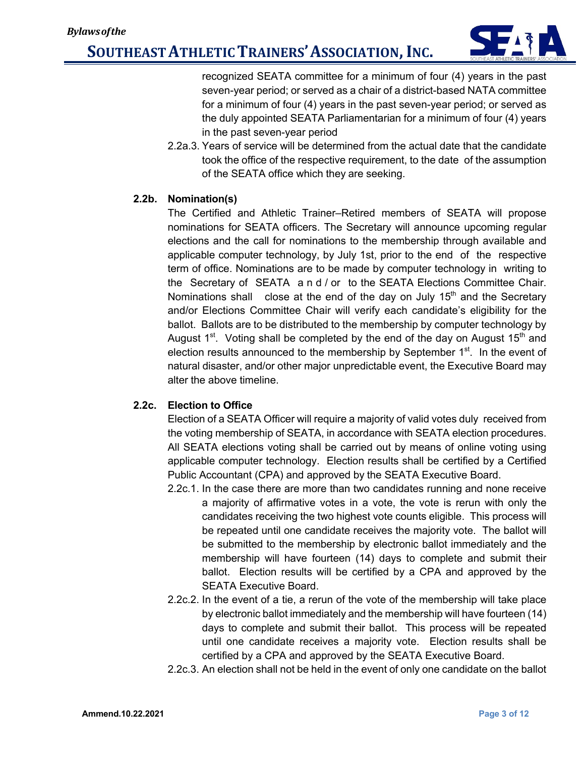

recognized SEATA committee for a minimum of four (4) years in the past seven-year period; or served as a chair of a district-based NATA committee for a minimum of four (4) years in the past seven-year period; or served as the duly appointed SEATA Parliamentarian for a minimum of four (4) years in the past seven-year period

2.2a.3. Years of service will be determined from the actual date that the candidate took the office of the respective requirement, to the date of the assumption of the SEATA office which they are seeking.

#### **2.2b. Nomination(s)**

The Certified and Athletic Trainer–Retired members of SEATA will propose nominations for SEATA officers. The Secretary will announce upcoming regular elections and the call for nominations to the membership through available and applicable computer technology, by July 1st, prior to the end of the respective term of office. Nominations are to be made by computer technology in writing to the Secretary of SEATA and/ or to the SEATA Elections Committee Chair. Nominations shall close at the end of the day on July  $15<sup>th</sup>$  and the Secretary and/or Elections Committee Chair will verify each candidate's eligibility for the ballot. Ballots are to be distributed to the membership by computer technology by August  $1<sup>st</sup>$ . Voting shall be completed by the end of the day on August 15<sup>th</sup> and election results announced to the membership by September  $1<sup>st</sup>$ . In the event of natural disaster, and/or other major unpredictable event, the Executive Board may alter the above timeline.

#### **2.2c. Election to Office**

Election of a SEATA Officer will require a majority of valid votes duly received from the voting membership of SEATA, in accordance with SEATA election procedures. All SEATA elections voting shall be carried out by means of online voting using applicable computer technology. Election results shall be certified by a Certified Public Accountant (CPA) and approved by the SEATA Executive Board.

- 2.2c.1. In the case there are more than two candidates running and none receive a majority of affirmative votes in a vote, the vote is rerun with only the candidates receiving the two highest vote counts eligible. This process will be repeated until one candidate receives the majority vote. The ballot will be submitted to the membership by electronic ballot immediately and the membership will have fourteen (14) days to complete and submit their ballot. Election results will be certified by a CPA and approved by the SEATA Executive Board.
- 2.2c.2. In the event of a tie, a rerun of the vote of the membership will take place by electronic ballot immediately and the membership will have fourteen (14) days to complete and submit their ballot. This process will be repeated until one candidate receives a majority vote. Election results shall be certified by a CPA and approved by the SEATA Executive Board.
- 2.2c.3. An election shall not be held in the event of only one candidate on the ballot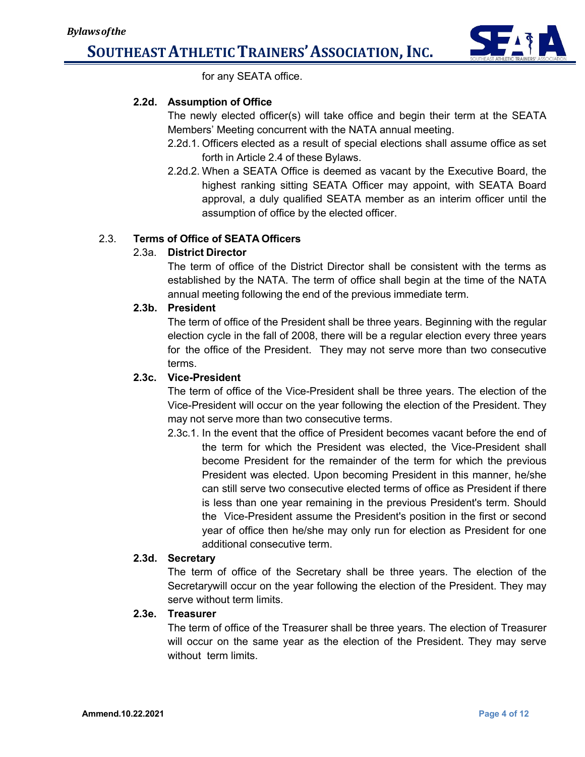

for any SEATA office.

#### **2.2d. Assumption of Office**

The newly elected officer(s) will take office and begin their term at the SEATA Members' Meeting concurrent with the NATA annual meeting.

- 2.2d.1. Officers elected as a result of special elections shall assume office as set forth in Article 2.4 of these Bylaws.
- 2.2d.2. When a SEATA Office is deemed as vacant by the Executive Board, the highest ranking sitting SEATA Officer may appoint, with SEATA Board approval, a duly qualified SEATA member as an interim officer until the assumption of office by the elected officer.

#### 2.3. **Terms of Office of SEATA Officers**

### 2.3a. **District Director**

The term of office of the District Director shall be consistent with the terms as established by the NATA. The term of office shall begin at the time of the NATA annual meeting following the end of the previous immediate term.

#### **2.3b. President**

The term of office of the President shall be three years. Beginning with the regular election cycle in the fall of 2008, there will be a regular election every three years for the office of the President. They may not serve more than two consecutive terms.

#### **2.3c. Vice-President**

The term of office of the Vice-President shall be three years. The election of the Vice-President will occur on the year following the election of the President. They may not serve more than two consecutive terms.

2.3c.1. In the event that the office of President becomes vacant before the end of the term for which the President was elected, the Vice-President shall become President for the remainder of the term for which the previous President was elected. Upon becoming President in this manner, he/she can still serve two consecutive elected terms of office as President if there is less than one year remaining in the previous President's term. Should the Vice-President assume the President's position in the first or second year of office then he/she may only run for election as President for one additional consecutive term.

#### **2.3d. Secretary**

The term of office of the Secretary shall be three years. The election of the Secretarywill occur on the year following the election of the President. They may serve without term limits.

#### **2.3e. Treasurer**

The term of office of the Treasurer shall be three years. The election of Treasurer will occur on the same year as the election of the President. They may serve without term limits.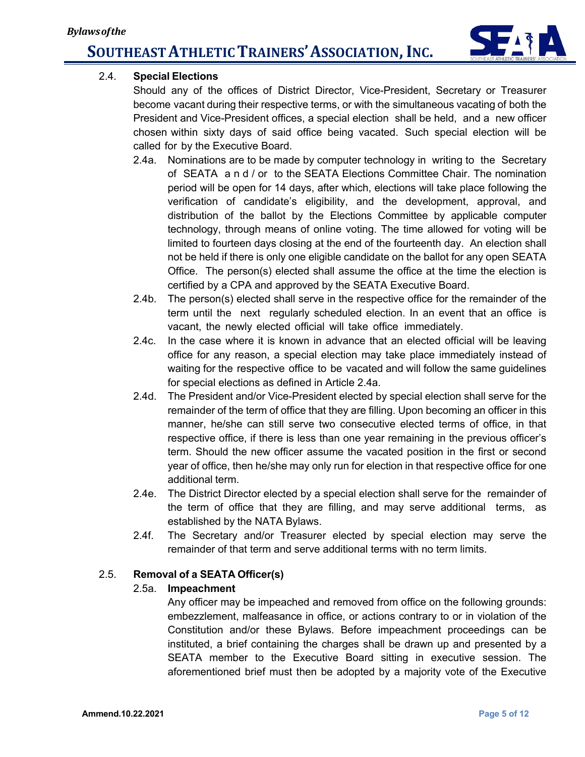

### 2.4. **Special Elections**

Should any of the offices of District Director, Vice-President, Secretary or Treasurer become vacant during their respective terms, or with the simultaneous vacating of both the President and Vice-President offices, a special election shall be held, and a new officer chosen within sixty days of said office being vacated. Such special election will be called for by the Executive Board.

- 2.4a. Nominations are to be made by computer technology in writing to the Secretary of SEATA and/ or to the SEATA Elections Committee Chair. The nomination period will be open for 14 days, after which, elections will take place following the verification of candidate's eligibility, and the development, approval, and distribution of the ballot by the Elections Committee by applicable computer technology, through means of online voting. The time allowed for voting will be limited to fourteen days closing at the end of the fourteenth day. An election shall not be held if there is only one eligible candidate on the ballot for any open SEATA Office. The person(s) elected shall assume the office at the time the election is certified by a CPA and approved by the SEATA Executive Board.
- 2.4b. The person(s) elected shall serve in the respective office for the remainder of the term until the next regularly scheduled election. In an event that an office is vacant, the newly elected official will take office immediately.
- 2.4c. In the case where it is known in advance that an elected official will be leaving office for any reason, a special election may take place immediately instead of waiting for the respective office to be vacated and will follow the same guidelines for special elections as defined in Article 2.4a.
- 2.4d. The President and/or Vice-President elected by special election shall serve for the remainder of the term of office that they are filling. Upon becoming an officer in this manner, he/she can still serve two consecutive elected terms of office, in that respective office, if there is less than one year remaining in the previous officer's term. Should the new officer assume the vacated position in the first or second year of office, then he/she may only run for election in that respective office for one additional term.
- 2.4e. The District Director elected by a special election shall serve for the remainder of the term of office that they are filling, and may serve additional terms, as established by the NATA Bylaws.
- 2.4f. The Secretary and/or Treasurer elected by special election may serve the remainder of that term and serve additional terms with no term limits.

### 2.5. **Removal of a SEATA Officer(s)**

#### 2.5a. **Impeachment**

Any officer may be impeached and removed from office on the following grounds: embezzlement, malfeasance in office, or actions contrary to or in violation of the Constitution and/or these Bylaws. Before impeachment proceedings can be instituted, a brief containing the charges shall be drawn up and presented by a SEATA member to the Executive Board sitting in executive session. The aforementioned brief must then be adopted by a majority vote of the Executive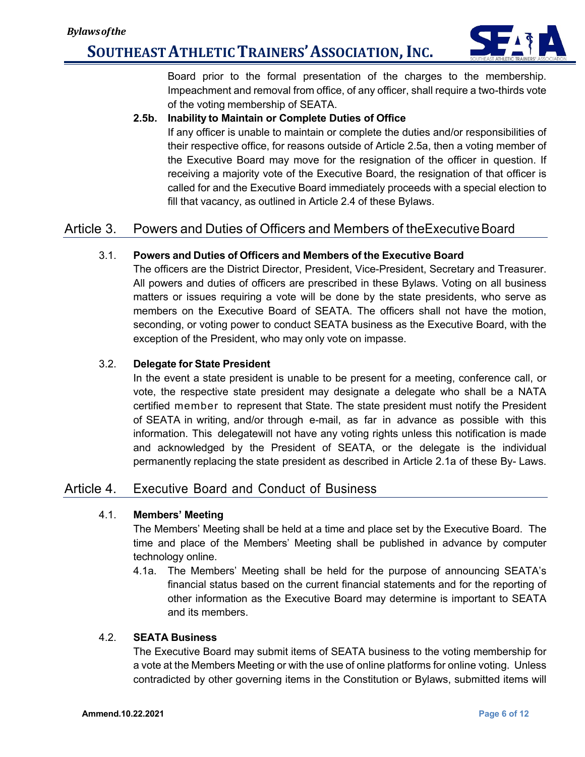

Board prior to the formal presentation of the charges to the membership. Impeachment and removal from office, of any officer, shall require a two-thirds vote of the voting membership of SEATA.

#### **2.5b. Inability to Maintain or Complete Duties of Office**

If any officer is unable to maintain or complete the duties and/or responsibilities of their respective office, for reasons outside of Article 2.5a, then a voting member of the Executive Board may move for the resignation of the officer in question. If receiving a majority vote of the Executive Board, the resignation of that officer is called for and the Executive Board immediately proceeds with a special election to fill that vacancy, as outlined in Article 2.4 of these Bylaws.

## Article 3. Powers and Duties of Officers and Members of theExecutiveBoard

#### 3.1. **Powers and Duties of Officers and Members of the Executive Board**

The officers are the District Director, President, Vice-President, Secretary and Treasurer. All powers and duties of officers are prescribed in these Bylaws. Voting on all business matters or issues requiring a vote will be done by the state presidents, who serve as members on the Executive Board of SEATA. The officers shall not have the motion, seconding, or voting power to conduct SEATA business as the Executive Board, with the exception of the President, who may only vote on impasse.

#### 3.2. **Delegate for State President**

In the event a state president is unable to be present for a meeting, conference call, or vote, the respective state president may designate a delegate who shall be a NATA certified member to represent that State. The state president must notify the President of SEATA in writing, and/or through e-mail, as far in advance as possible with this information. This delegatewill not have any voting rights unless this notification is made and acknowledged by the President of SEATA, or the delegate is the individual permanently replacing the state president as described in Article 2.1a of these By- Laws.

### Article 4. Executive Board and Conduct of Business

#### 4.1. **Members' Meeting**

The Members' Meeting shall be held at a time and place set by the Executive Board. The time and place of the Members' Meeting shall be published in advance by computer technology online.

4.1a. The Members' Meeting shall be held for the purpose of announcing SEATA's financial status based on the current financial statements and for the reporting of other information as the Executive Board may determine is important to SEATA and its members.

#### 4.2. **SEATA Business**

The Executive Board may submit items of SEATA business to the voting membership for a vote at the Members Meeting or with the use of online platforms for online voting. Unless contradicted by other governing items in the Constitution or Bylaws, submitted items will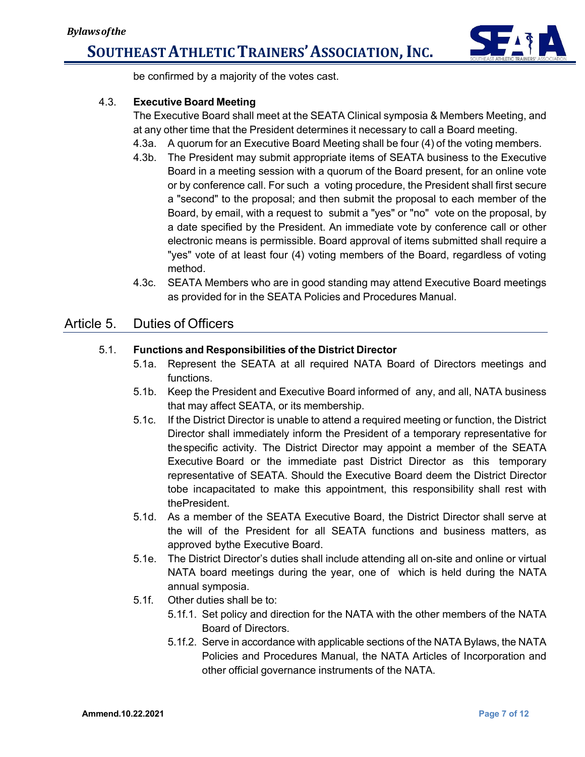

be confirmed by a majority of the votes cast.

### 4.3. **Executive Board Meeting**

The Executive Board shall meet at the SEATA Clinical symposia & Members Meeting, and at any other time that the President determines it necessary to call a Board meeting.

- 4.3a. A quorum for an Executive Board Meeting shall be four (4) of the voting members.
- 4.3b. The President may submit appropriate items of SEATA business to the Executive Board in a meeting session with a quorum of the Board present, for an online vote or by conference call. For such a voting procedure, the President shall first secure a "second" to the proposal; and then submit the proposal to each member of the Board, by email, with a request to submit a "yes" or "no" vote on the proposal, by a date specified by the President. An immediate vote by conference call or other electronic means is permissible. Board approval of items submitted shall require a "yes" vote of at least four (4) voting members of the Board, regardless of voting method.
- 4.3c. SEATA Members who are in good standing may attend Executive Board meetings as provided for in the SEATA Policies and Procedures Manual.

#### Article 5. Duties of Officers

#### 5.1. **Functions and Responsibilities of the District Director**

- 5.1a. Represent the SEATA at all required NATA Board of Directors meetings and functions.
- 5.1b. Keep the President and Executive Board informed of any, and all, NATA business that may affect SEATA, or its membership.
- 5.1c. If the District Director is unable to attend a required meeting or function, the District Director shall immediately inform the President of a temporary representative for thespecific activity. The District Director may appoint a member of the SEATA Executive Board or the immediate past District Director as this temporary representative of SEATA. Should the Executive Board deem the District Director tobe incapacitated to make this appointment, this responsibility shall rest with thePresident.
- 5.1d. As a member of the SEATA Executive Board, the District Director shall serve at the will of the President for all SEATA functions and business matters, as approved bythe Executive Board.
- 5.1e. The District Director's duties shall include attending all on-site and online or virtual NATA board meetings during the year, one of which is held during the NATA annual symposia.
- 5.1f. Other duties shall be to:
	- 5.1f.1. Set policy and direction for the NATA with the other members of the NATA Board of Directors.
	- 5.1f.2. Serve in accordance with applicable sections of the NATA Bylaws, the NATA Policies and Procedures Manual, the NATA Articles of Incorporation and other official governance instruments of the NATA.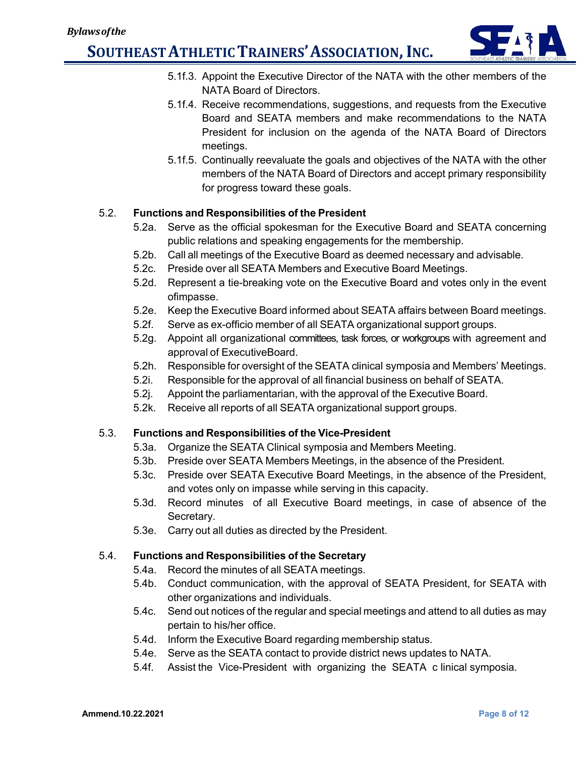

- 5.1f.3. Appoint the Executive Director of the NATA with the other members of the NATA Board of Directors.
- 5.1f.4. Receive recommendations, suggestions, and requests from the Executive Board and SEATA members and make recommendations to the NATA President for inclusion on the agenda of the NATA Board of Directors meetings.
- 5.1f.5. Continually reevaluate the goals and objectives of the NATA with the other members of the NATA Board of Directors and accept primary responsibility for progress toward these goals.

#### 5.2. **Functions and Responsibilities of the President**

- 5.2a. Serve as the official spokesman for the Executive Board and SEATA concerning public relations and speaking engagements for the membership.
- 5.2b. Call all meetings of the Executive Board as deemed necessary and advisable.
- 5.2c. Preside over all SEATA Members and Executive Board Meetings.
- 5.2d. Represent a tie-breaking vote on the Executive Board and votes only in the event ofimpasse.
- 5.2e. Keep the Executive Board informed about SEATA affairs between Board meetings.
- 5.2f. Serve as ex-officio member of all SEATA organizational support groups.
- 5.2g. Appoint all organizational committees, task forces, or workgroups with agreement and approval of ExecutiveBoard.
- 5.2h. Responsible for oversight of the SEATA clinical symposia and Members' Meetings.
- 5.2i. Responsible for the approval of all financial business on behalf of SEATA.
- 5.2j. Appoint the parliamentarian, with the approval of the Executive Board.
- 5.2k. Receive all reports of all SEATA organizational support groups.

#### 5.3. **Functions and Responsibilities of the Vice-President**

- 5.3a. Organize the SEATA Clinical symposia and Members Meeting.
- 5.3b. Preside over SEATA Members Meetings, in the absence of the President.
- 5.3c. Preside over SEATA Executive Board Meetings, in the absence of the President, and votes only on impasse while serving in this capacity.
- 5.3d. Record minutes of all Executive Board meetings, in case of absence of the Secretary.
- 5.3e. Carry out all duties as directed by the President.

#### 5.4. **Functions and Responsibilities of the Secretary**

- 5.4a. Record the minutes of all SEATA meetings.
- 5.4b. Conduct communication, with the approval of SEATA President, for SEATA with other organizations and individuals.
- 5.4c. Send out notices of the regular and special meetings and attend to all duties as may pertain to his/her office.
- 5.4d. Inform the Executive Board regarding membership status.
- 5.4e. Serve as the SEATA contact to provide district news updates to NATA.
- 5.4f. Assist the Vice-President with organizing the SEATA c linical symposia.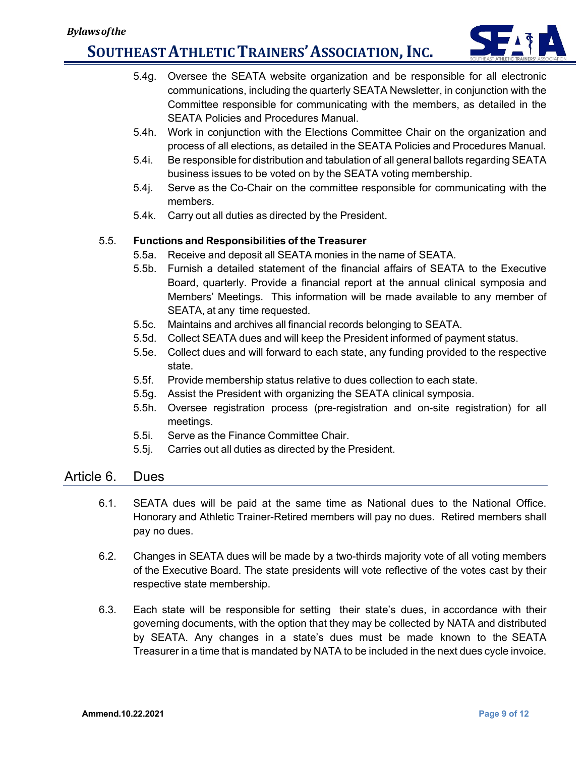

- 5.4g. Oversee the SEATA website organization and be responsible for all electronic communications, including the quarterly SEATA Newsletter, in conjunction with the Committee responsible for communicating with the members, as detailed in the SEATA Policies and Procedures Manual.
- 5.4h. Work in conjunction with the Elections Committee Chair on the organization and process of all elections, as detailed in the SEATA Policies and Procedures Manual.
- 5.4i. Be responsible for distribution and tabulation of all general ballots regarding SEATA business issues to be voted on by the SEATA voting membership.
- 5.4j. Serve as the Co-Chair on the committee responsible for communicating with the members.
- 5.4k. Carry out all duties as directed by the President.

#### 5.5. **Functions and Responsibilities of the Treasurer**

- 5.5a. Receive and deposit all SEATA monies in the name of SEATA.
- 5.5b. Furnish a detailed statement of the financial affairs of SEATA to the Executive Board, quarterly. Provide a financial report at the annual clinical symposia and Members' Meetings. This information will be made available to any member of SEATA, at any time requested.
- 5.5c. Maintains and archives all financial records belonging to SEATA.
- 5.5d. Collect SEATA dues and will keep the President informed of payment status.
- 5.5e. Collect dues and will forward to each state, any funding provided to the respective state.
- 5.5f. Provide membership status relative to dues collection to each state.
- 5.5g. Assist the President with organizing the SEATA clinical symposia.
- 5.5h. Oversee registration process (pre-registration and on-site registration) for all meetings.
- 5.5i. Serve as the Finance Committee Chair.
- 5.5j. Carries out all duties as directed by the President.

### Article 6. Dues

- 6.1. SEATA dues will be paid at the same time as National dues to the National Office. Honorary and Athletic Trainer-Retired members will pay no dues. Retired members shall pay no dues.
- 6.2. Changes in SEATA dues will be made by a two-thirds majority vote of all voting members of the Executive Board. The state presidents will vote reflective of the votes cast by their respective state membership.
- 6.3. Each state will be responsible for setting their state's dues, in accordance with their governing documents, with the option that they may be collected by NATA and distributed by SEATA. Any changes in a state's dues must be made known to the SEATA Treasurer in a time that is mandated by NATA to be included in the next dues cycle invoice.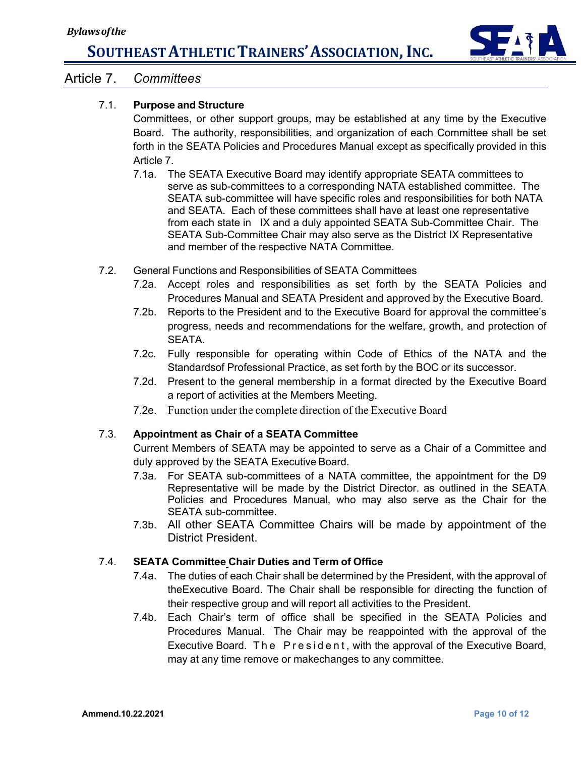

### Article 7. *Committees*

### 7.1. **Purpose and Structure**

Committees, or other support groups, may be established at any time by the Executive Board. The authority, responsibilities, and organization of each Committee shall be set forth in the SEATA Policies and Procedures Manual except as specifically provided in this Article 7.

- 7.1a. The SEATA Executive Board may identify appropriate SEATA committees to serve as sub-committees to a corresponding NATA established committee. The SEATA sub-committee will have specific roles and responsibilities for both NATA and SEATA. Each of these committees shall have at least one representative from each state in IX and a duly appointed SEATA Sub-Committee Chair. The SEATA Sub-Committee Chair may also serve as the District IX Representative and member of the respective NATA Committee.
- 7.2. General Functions and Responsibilities of SEATA Committees
	- 7.2a. Accept roles and responsibilities as set forth by the SEATA Policies and Procedures Manual and SEATA President and approved by the Executive Board.
	- 7.2b. Reports to the President and to the Executive Board for approval the committee's progress, needs and recommendations for the welfare, growth, and protection of SEATA.
	- 7.2c. Fully responsible for operating within Code of Ethics of the NATA and the Standardsof Professional Practice, as set forth by the BOC or its successor.
	- 7.2d. Present to the general membership in a format directed by the Executive Board a report of activities at the Members Meeting.
	- 7.2e. Function under the complete direction of the Executive Board

#### 7.3. **Appointment as Chair of a SEATA Committee**

Current Members of SEATA may be appointed to serve as a Chair of a Committee and duly approved by the SEATA Executive Board.

- 7.3a. For SEATA sub-committees of a NATA committee, the appointment for the D9 Representative will be made by the District Director. as outlined in the SEATA Policies and Procedures Manual, who may also serve as the Chair for the SEATA sub-committee.
- 7.3b. All other SEATA Committee Chairs will be made by appointment of the District President.

#### 7.4. **SEATA Committee Chair Duties and Term of Office**

- 7.4a. The duties of each Chair shall be determined by the President, with the approval of theExecutive Board. The Chair shall be responsible for directing the function of their respective group and will report all activities to the President.
- 7.4b. Each Chair's term of office shall be specified in the SEATA Policies and Procedures Manual. The Chair may be reappointed with the approval of the Executive Board. The President , with the approval of the Executive Board, may at any time remove or makechanges to any committee.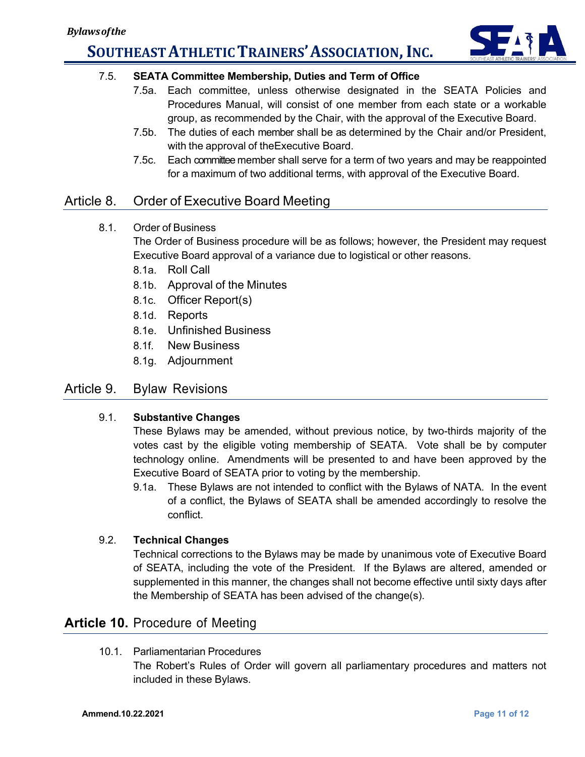

### 7.5. **SEATA Committee Membership, Duties and Term of Office**

- 7.5a. Each committee, unless otherwise designated in the SEATA Policies and Procedures Manual, will consist of one member from each state or a workable group, as recommended by the Chair, with the approval of the Executive Board.
- 7.5b. The duties of each member shall be as determined by the Chair and/or President, with the approval of theExecutive Board.
- 7.5c. Each committee member shall serve for a term of two years and may be reappointed for a maximum of two additional terms, with approval of the Executive Board.

## Article 8. Order of Executive Board Meeting

8.1. Order of Business

The Order of Business procedure will be as follows; however, the President may request Executive Board approval of a variance due to logistical or other reasons.

- 8.1a. Roll Call
- 8.1b. Approval of the Minutes
- 8.1c. Officer Report(s)
- 8.1d. Reports
- 8.1e. Unfinished Business
- 8.1f. New Business
- 8.1g. Adjournment

## Article 9. Bylaw Revisions

#### 9.1. **Substantive Changes**

These Bylaws may be amended, without previous notice, by two-thirds majority of the votes cast by the eligible voting membership of SEATA. Vote shall be by computer technology online. Amendments will be presented to and have been approved by the Executive Board of SEATA prior to voting by the membership.

9.1a. These Bylaws are not intended to conflict with the Bylaws of NATA. In the event of a conflict, the Bylaws of SEATA shall be amended accordingly to resolve the conflict.

#### 9.2. **Technical Changes**

Technical corrections to the Bylaws may be made by unanimous vote of Executive Board of SEATA, including the vote of the President. If the Bylaws are altered, amended or supplemented in this manner, the changes shall not become effective until sixty days after the Membership of SEATA has been advised of the change(s).

## **Article 10.** Procedure of Meeting

10.1. Parliamentarian Procedures

The Robert's Rules of Order will govern all parliamentary procedures and matters not included in these Bylaws.